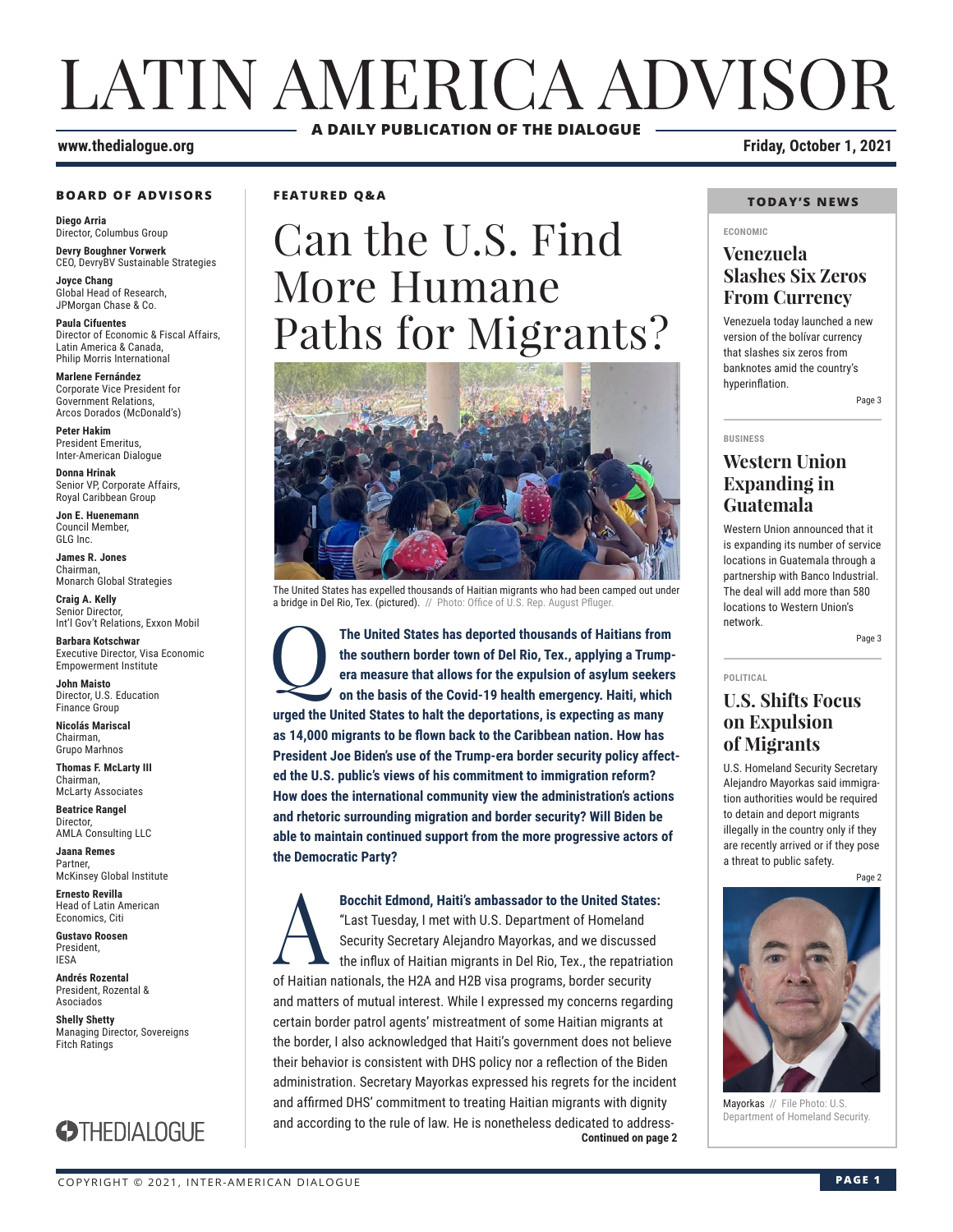# LATIN AMERICA ADVISOR **A DAILY PUBLICATION OF THE DIALOGUE**

#### **www.thedialogue.org Friday, October 1, 2021**

#### **BOARD OF ADVISORS**

**Diego Arria** Director, Columbus Group **Devry Boughner Vorwerk**

CEO, DevryBV Sustainable Strategies **Joyce Chang**

Global Head of Research, JPMorgan Chase & Co.

**Paula Cifuentes** Director of Economic & Fiscal Affairs, Latin America & Canada, Philip Morris International

**Marlene Fernández** Corporate Vice President for Government Relations, Arcos Dorados (McDonald's)

**Peter Hakim** President Emeritus, Inter-American Dialogue

**Donna Hrinak** Senior VP, Corporate Affairs, Royal Caribbean Group

**Jon E. Huenemann** Council Member, GLG Inc.

**James R. Jones** Chairman, Monarch Global Strategies

**Craig A. Kelly** Senior Director, Int'l Gov't Relations, Exxon Mobil

**Barbara Kotschwar** Executive Director, Visa Economic Empowerment Institute

**John Maisto** Director, U.S. Education Finance Group

**Nicolás Mariscal** Chairman, Grupo Marhnos

**Thomas F. McLarty III** Chairman, McLarty Associates

**Beatrice Rangel**  Director, AMLA Consulting LLC

**Jaana Remes Partner** McKinsey Global Institute

**Ernesto Revilla**  Head of Latin American Economics, Citi

**Gustavo Roosen** President, IESA

**Andrés Rozental**  President, Rozental & Asociados

**Shelly Shetty** Managing Director, Sovereigns Fitch Ratings



**FEATURED Q&A**

# Can the U.S. Find More Humane Paths for Migrants?



The United States has expelled thousands of Haitian migrants who had been camped out under a bridge in Del Rio, Tex. (pictured). // Photo: Office of U.S. Rep. August Pfluger

The United States has deported thousands of Haitians from the southern border town of Del Rio, Tex., applying a Trumpera measure that allows for the expulsion of asylum seekers on the basis of the Covid-19 health emergency **the southern border town of Del Rio, Tex., applying a Trumpera measure that allows for the expulsion of asylum seekers on the basis of the Covid-19 health emergency. Haiti, which urged the United States to halt the deportations, is expecting as many as 14,000 migrants to be flown back to the Caribbean nation. How has President Joe Biden's use of the Trump-era border security policy affected the U.S. public's views of his commitment to immigration reform? How does the international community view the administration's actions and rhetoric surrounding migration and border security? Will Biden be able to maintain continued support from the more progressive actors of the Democratic Party?**

**Continued on page 2 Bocchit Edmond, Haiti's ambassador to the United States:**<br>"Last Tuesday, I met with U.S. Department of Homeland<br>Security Secretary Alejandro Mayorkas, and we discussed<br>the influx of Haitian migrants in Del Rio, Tex., the "Last Tuesday, I met with U.S. Department of Homeland Security Secretary Alejandro Mayorkas, and we discussed the influx of Haitian migrants in Del Rio, Tex., the repatriation of Haitian nationals, the H2A and H2B visa programs, border security and matters of mutual interest. While I expressed my concerns regarding certain border patrol agents' mistreatment of some Haitian migrants at the border, I also acknowledged that Haiti's government does not believe their behavior is consistent with DHS policy nor a reflection of the Biden administration. Secretary Mayorkas expressed his regrets for the incident and affirmed DHS' commitment to treating Haitian migrants with dignity and according to the rule of law. He is nonetheless dedicated to address-

#### **TODAY'S NEWS**

#### **ECONOMIC**

#### **Venezuela Slashes Six Zeros From Currency**

Venezuela today launched a new version of the bolívar currency that slashes six zeros from banknotes amid the country's hyperinflation.

Page 3

#### **BUSINESS**

### **Western Union Expanding in Guatemala**

Western Union announced that it is expanding its number of service locations in Guatemala through a partnership with Banco Industrial. The deal will add more than 580 locations to Western Union's network.

Page 3

**POLITICAL**

#### **U.S. Shifts Focus on Expulsion of Migrants**

U.S. Homeland Security Secretary Alejandro Mayorkas said immigration authorities would be required to detain and deport migrants illegally in the country only if they are recently arrived or if they pose a threat to public safety.

Page 2



Mayorkas // File Photo: U.S. artment of Homeland Security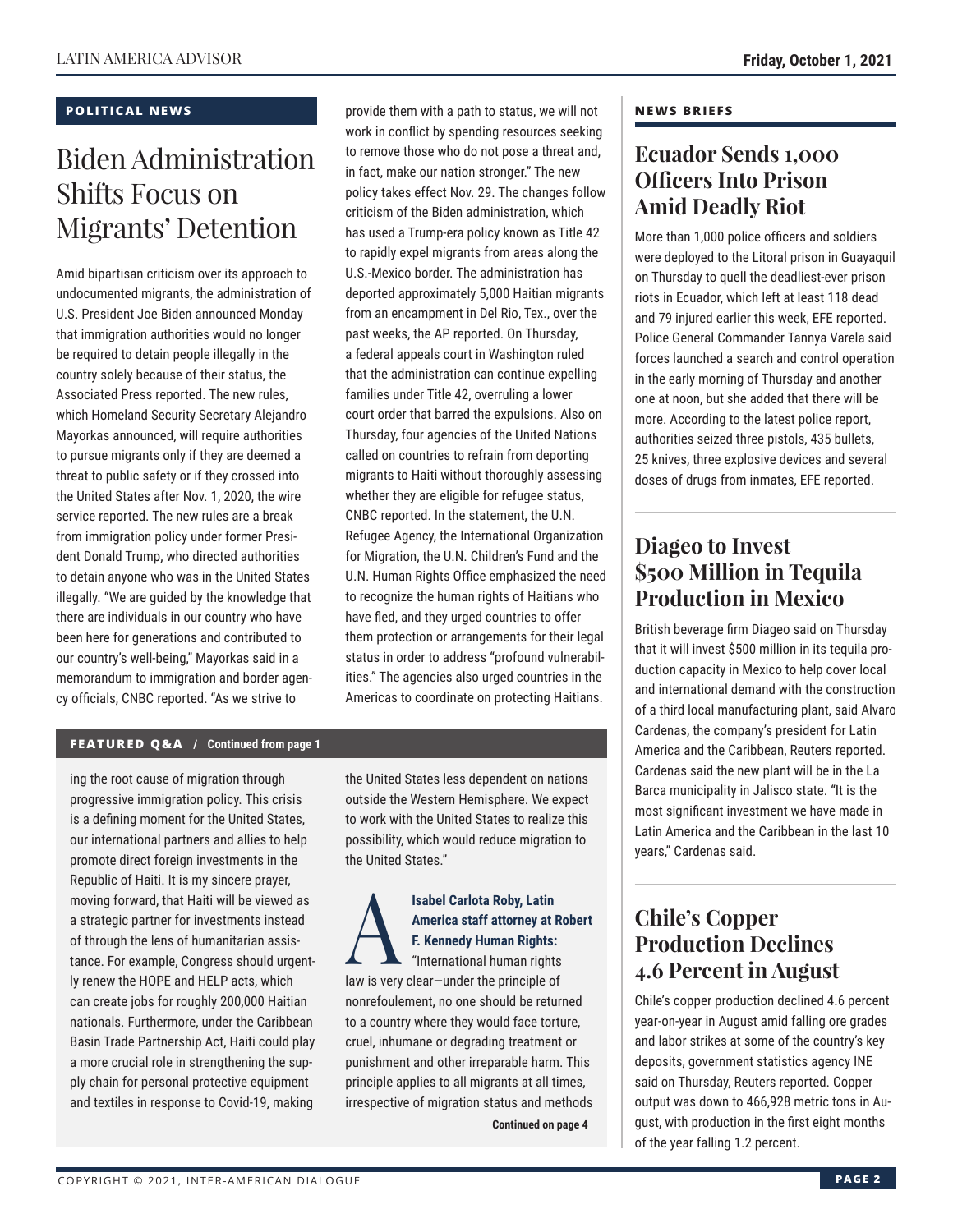#### **POLITICAL NEWS**

## Biden Administration Shifts Focus on Migrants' Detention

Amid bipartisan criticism over its approach to undocumented migrants, the administration of U.S. President Joe Biden announced Monday that immigration authorities would no longer be required to detain people illegally in the country solely because of their status, the Associated Press reported. The new rules, which Homeland Security Secretary Alejandro Mayorkas announced, will require authorities to pursue migrants only if they are deemed a threat to public safety or if they crossed into the United States after Nov. 1, 2020, the wire service reported. The new rules are a break from immigration policy under former President Donald Trump, who directed authorities to detain anyone who was in the United States illegally. "We are guided by the knowledge that there are individuals in our country who have been here for generations and contributed to our country's well-being," Mayorkas said in a memorandum to immigration and border agency officials, CNBC reported. "As we strive to

provide them with a path to status, we will not work in conflict by spending resources seeking to remove those who do not pose a threat and, in fact, make our nation stronger." The new policy takes effect Nov. 29. The changes follow criticism of the Biden administration, which has used a Trump-era policy known as Title 42 to rapidly expel migrants from areas along the U.S.-Mexico border. The administration has deported approximately 5,000 Haitian migrants from an encampment in Del Rio, Tex., over the past weeks, the AP reported. On Thursday, a federal appeals court in Washington ruled that the administration can continue expelling families under Title 42, overruling a lower court order that barred the expulsions. Also on Thursday, four agencies of the United Nations called on countries to refrain from deporting migrants to Haiti without thoroughly assessing whether they are eligible for refugee status, CNBC reported. In the statement, the U.N. Refugee Agency, the International Organization for Migration, the U.N. Children's Fund and the U.N. Human Rights Office emphasized the need to recognize the human rights of Haitians who have fled, and they urged countries to offer them protection or arrangements for their legal status in order to address "profound vulnerabilities." The agencies also urged countries in the Americas to coordinate on protecting Haitians.

#### **FEATURED Q&A / Continued from page 1**

ing the root cause of migration through progressive immigration policy. This crisis is a defining moment for the United States, our international partners and allies to help promote direct foreign investments in the Republic of Haiti. It is my sincere prayer, moving forward, that Haiti will be viewed as a strategic partner for investments instead of through the lens of humanitarian assistance. For example, Congress should urgently renew the HOPE and HELP acts, which can create jobs for roughly 200,000 Haitian nationals. Furthermore, under the Caribbean Basin Trade Partnership Act, Haiti could play a more crucial role in strengthening the supply chain for personal protective equipment and textiles in response to Covid-19, making

the United States less dependent on nations outside the Western Hemisphere. We expect to work with the United States to realize this possibility, which would reduce migration to the United States."

### **Isabel Carlota Roby, Latin<br>
America staff attorney at I<br>
F. Kennedy Human Rights:<br>
"International human rights" America staff attorney at Robert F. Kennedy Human Rights:**

"International human rights law is very clear—under the principle of nonrefoulement, no one should be returned to a country where they would face torture, cruel, inhumane or degrading treatment or punishment and other irreparable harm. This principle applies to all migrants at all times, irrespective of migration status and methods

**Continued on page 4** 

#### **NEWS BRIEFS**

### **Ecuador Sends 1,000 Officers Into Prison Amid Deadly Riot**

More than 1,000 police officers and soldiers were deployed to the Litoral prison in Guayaquil on Thursday to quell the deadliest-ever prison riots in Ecuador, which left at least 118 dead and 79 injured earlier this week, EFE reported. Police General Commander Tannya Varela said forces launched a search and control operation in the early morning of Thursday and another one at noon, but she added that there will be more. According to the latest police report, authorities seized three pistols, 435 bullets, 25 knives, three explosive devices and several doses of drugs from inmates, EFE reported.

### **Diageo to Invest \$500 Million in Tequila Production in Mexico**

British beverage firm Diageo said on Thursday that it will invest \$500 million in its tequila production capacity in Mexico to help cover local and international demand with the construction of a third local manufacturing plant, said Alvaro Cardenas, the company's president for Latin America and the Caribbean, Reuters reported. Cardenas said the new plant will be in the La Barca municipality in Jalisco state. "It is the most significant investment we have made in Latin America and the Caribbean in the last 10 years," Cardenas said.

### **Chile's Copper Production Declines 4.6 Percent in August**

Chile's copper production declined 4.6 percent year-on-year in August amid falling ore grades and labor strikes at some of the country's key deposits, government statistics agency INE said on Thursday, Reuters reported. Copper output was down to 466,928 metric tons in August, with production in the first eight months of the year falling 1.2 percent.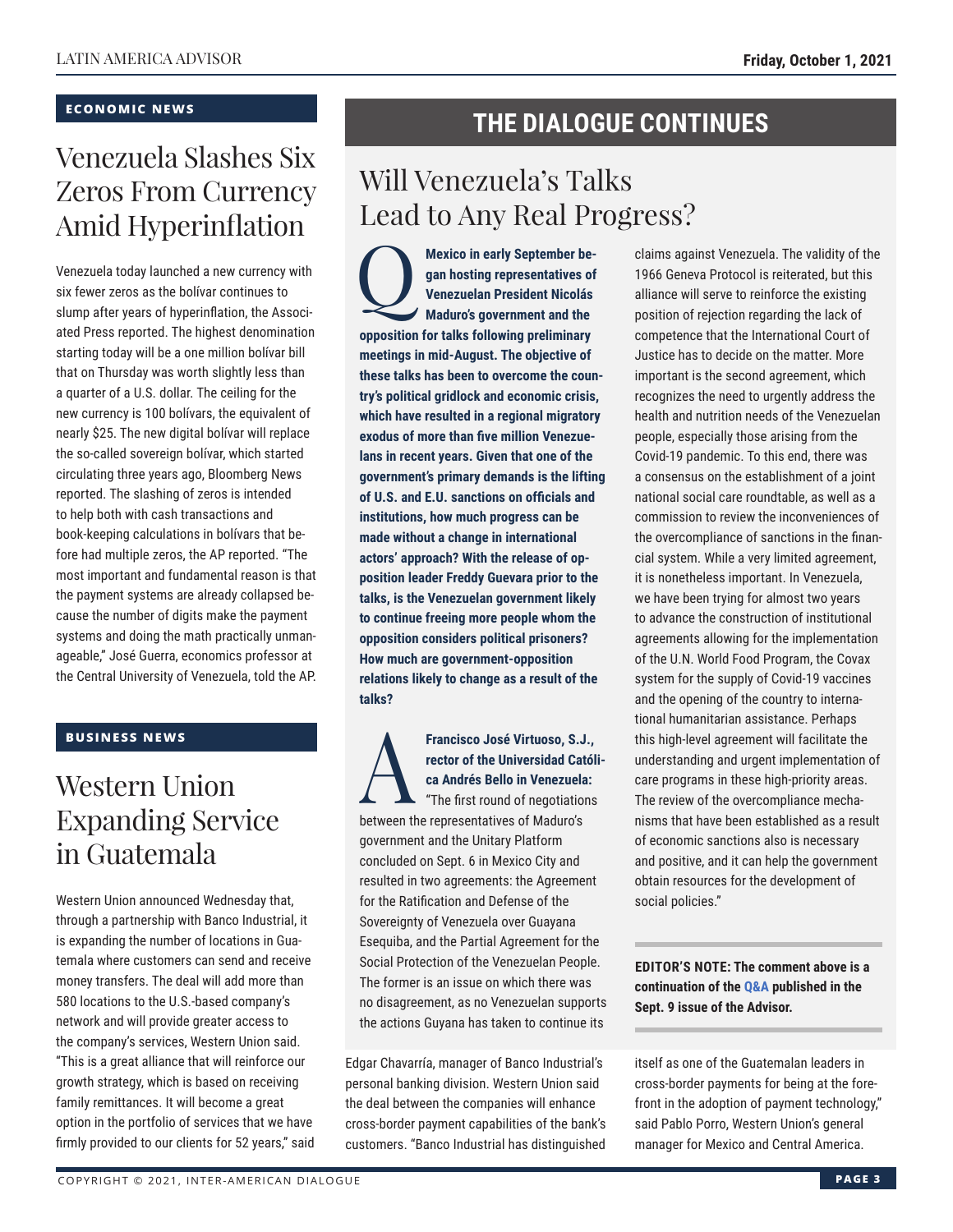#### **ECONOMIC NEWS**

## Venezuela Slashes Six Zeros From Currency Amid Hyperinflation

Venezuela today launched a new currency with six fewer zeros as the bolívar continues to slump after years of hyperinflation, the Associated Press reported. The highest denomination starting today will be a one million bolívar bill that on Thursday was worth slightly less than a quarter of a U.S. dollar. The ceiling for the new currency is 100 bolívars, the equivalent of nearly \$25. The new digital bolívar will replace the so-called sovereign bolívar, which started circulating three years ago, Bloomberg News reported. The slashing of zeros is intended to help both with cash transactions and book-keeping calculations in bolívars that before had multiple zeros, the AP reported. "The most important and fundamental reason is that the payment systems are already collapsed because the number of digits make the payment systems and doing the math practically unmanageable," José Guerra, economics professor at the Central University of Venezuela, told the AP.

#### **BUSINESS NEWS**

### Western Union Expanding Service in Guatemala

Western Union announced Wednesday that, through a partnership with Banco Industrial, it is expanding the number of locations in Guatemala where customers can send and receive money transfers. The deal will add more than 580 locations to the U.S.-based company's network and will provide greater access to the company's services, Western Union said. "This is a great alliance that will reinforce our growth strategy, which is based on receiving family remittances. It will become a great option in the portfolio of services that we have firmly provided to our clients for 52 years," said

### **THE DIALOGUE CONTINUES**

### Will Venezuela's Talks Lead to Any Real Progress?

**Mexico in early September began hosting representatives of Venezuelan President Nicolás Maduro's government and the opposition for talks following preliminary meetings in mid-August. The objective of these talks has been to overcome the country's political gridlock and economic crisis, which have resulted in a regional migratory exodus of more than five million Venezuelans in recent years. Given that one of the government's primary demands is the lifting of U.S. and E.U. sanctions on officials and institutions, how much progress can be made without a change in international actors' approach? With the release of opposition leader Freddy Guevara prior to the talks, is the Venezuelan government likely to continue freeing more people whom the opposition considers political prisoners? How much are government-opposition relations likely to change as a result of the talks?**

Francisco José Virtuoso, S.J.,<br>rector of the Universidad Catól<br>ca Andrés Bello in Venezuela:<br>"The first round of negotiations<br>between the representatives of Medure's **rector of the Universidad Católica Andrés Bello in Venezuela:** "The first round of negotiations between the representatives of Maduro's government and the Unitary Platform concluded on Sept. 6 in Mexico City and resulted in two agreements: the Agreement for the Ratification and Defense of the Sovereignty of Venezuela over Guayana Esequiba, and the Partial Agreement for the Social Protection of the Venezuelan People. The former is an issue on which there was no disagreement, as no Venezuelan supports the actions Guyana has taken to continue its

Edgar Chavarría, manager of Banco Industrial's personal banking division. Western Union said the deal between the companies will enhance cross-border payment capabilities of the bank's customers. "Banco Industrial has distinguished

claims against Venezuela. The validity of the 1966 Geneva Protocol is reiterated, but this alliance will serve to reinforce the existing position of rejection regarding the lack of competence that the International Court of Justice has to decide on the matter. More important is the second agreement, which recognizes the need to urgently address the health and nutrition needs of the Venezuelan people, especially those arising from the Covid-19 pandemic. To this end, there was a consensus on the establishment of a joint national social care roundtable, as well as a commission to review the inconveniences of the overcompliance of sanctions in the financial system. While a very limited agreement, it is nonetheless important. In Venezuela, we have been trying for almost two years to advance the construction of institutional agreements allowing for the implementation of the U.N. World Food Program, the Covax system for the supply of Covid-19 vaccines and the opening of the country to international humanitarian assistance. Perhaps this high-level agreement will facilitate the understanding and urgent implementation of care programs in these high-priority areas. The review of the overcompliance mechanisms that have been established as a result of economic sanctions also is necessary and positive, and it can help the government obtain resources for the development of social policies."

**EDITOR'S NOTE: The comment above is a continuation of t[he Q&A pu](https://www.thedialogue.org/wp-content/uploads/2021/09/LAA210909.pdf)blished in the Sept. 9 issue of the Advisor.**

itself as one of the Guatemalan leaders in cross-border payments for being at the forefront in the adoption of payment technology," said Pablo Porro, Western Union's general manager for Mexico and Central America.